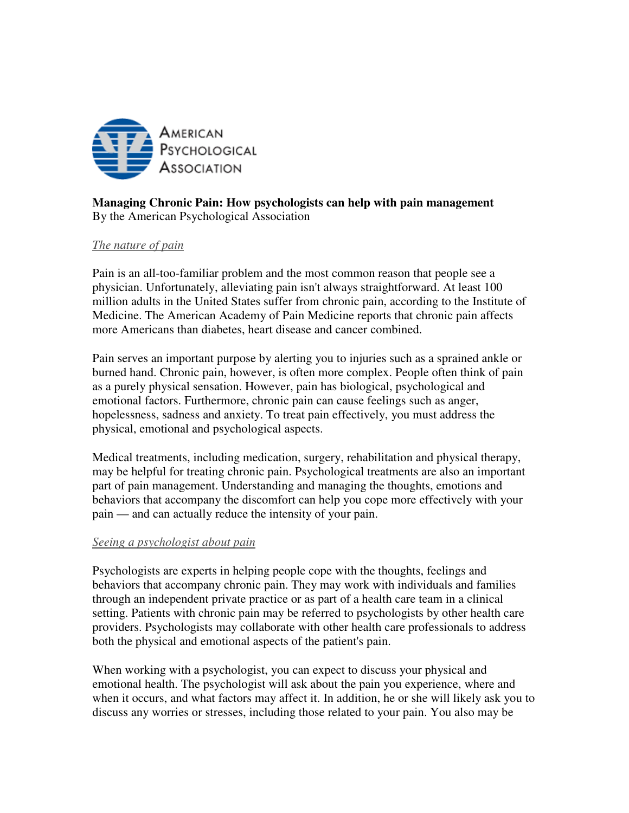

# **Managing Chronic Pain: How psychologists can help with pain management**  By the American Psychological Association

### *The nature of pain*

Pain is an all-too-familiar problem and the most common reason that people see a physician. Unfortunately, alleviating pain isn't always straightforward. At least 100 million adults in the United States suffer from chronic pain, according to the Institute of Medicine. The American Academy of Pain Medicine reports that chronic pain affects more Americans than diabetes, heart disease and cancer combined.

Pain serves an important purpose by alerting you to injuries such as a sprained ankle or burned hand. Chronic pain, however, is often more complex. People often think of pain as a purely physical sensation. However, pain has biological, psychological and emotional factors. Furthermore, chronic pain can cause feelings such as anger, hopelessness, sadness and anxiety. To treat pain effectively, you must address the physical, emotional and psychological aspects.

Medical treatments, including medication, surgery, rehabilitation and physical therapy, may be helpful for treating chronic pain. Psychological treatments are also an important part of pain management. Understanding and managing the thoughts, emotions and behaviors that accompany the discomfort can help you cope more effectively with your pain — and can actually reduce the intensity of your pain.

#### *Seeing a psychologist about pain*

Psychologists are experts in helping people cope with the thoughts, feelings and behaviors that accompany chronic pain. They may work with individuals and families through an independent private practice or as part of a health care team in a clinical setting. Patients with chronic pain may be referred to psychologists by other health care providers. Psychologists may collaborate with other health care professionals to address both the physical and emotional aspects of the patient's pain.

When working with a psychologist, you can expect to discuss your physical and emotional health. The psychologist will ask about the pain you experience, where and when it occurs, and what factors may affect it. In addition, he or she will likely ask you to discuss any worries or stresses, including those related to your pain. You also may be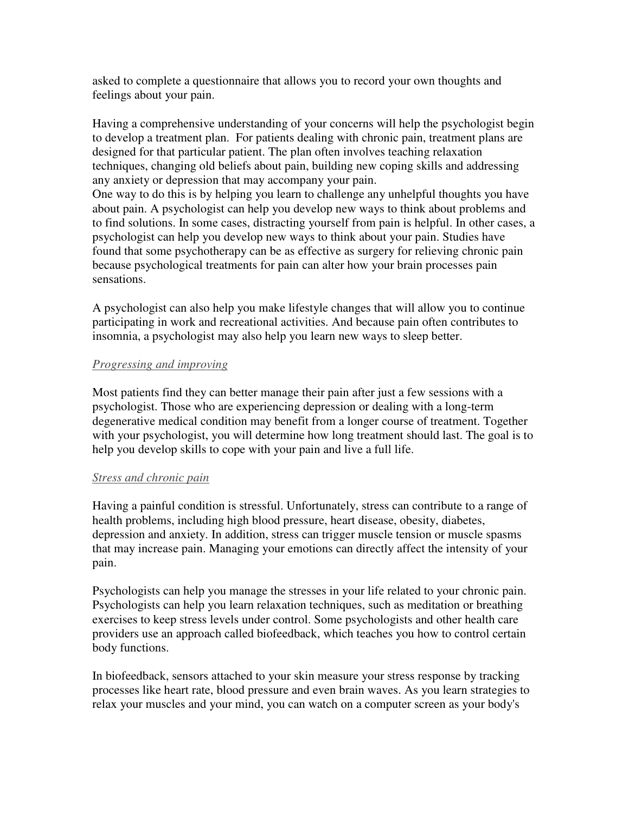asked to complete a questionnaire that allows you to record your own thoughts and feelings about your pain.

Having a comprehensive understanding of your concerns will help the psychologist begin to develop a treatment plan. For patients dealing with chronic pain, treatment plans are designed for that particular patient. The plan often involves teaching relaxation techniques, changing old beliefs about pain, building new coping skills and addressing any anxiety or depression that may accompany your pain. One way to do this is by helping you learn to challenge any unhelpful thoughts you have about pain. A psychologist can help you develop new ways to think about problems and to find solutions. In some cases, distracting yourself from pain is helpful. In other cases, a psychologist can help you develop new ways to think about your pain. Studies have found that some psychotherapy can be as effective as surgery for relieving chronic pain because psychological treatments for pain can alter how your brain processes pain

sensations.

A psychologist can also help you make lifestyle changes that will allow you to continue participating in work and recreational activities. And because pain often contributes to insomnia, a psychologist may also help you learn new ways to sleep better.

### *Progressing and improving*

Most patients find they can better manage their pain after just a few sessions with a psychologist. Those who are experiencing depression or dealing with a long-term degenerative medical condition may benefit from a longer course of treatment. Together with your psychologist, you will determine how long treatment should last. The goal is to help you develop skills to cope with your pain and live a full life.

## *Stress and chronic pain*

Having a painful condition is stressful. Unfortunately, stress can contribute to a range of health problems, including high blood pressure, heart disease, obesity, diabetes, depression and anxiety. In addition, stress can trigger muscle tension or muscle spasms that may increase pain. Managing your emotions can directly affect the intensity of your pain.

Psychologists can help you manage the stresses in your life related to your chronic pain. Psychologists can help you learn relaxation techniques, such as meditation or breathing exercises to keep stress levels under control. Some psychologists and other health care providers use an approach called biofeedback, which teaches you how to control certain body functions.

In biofeedback, sensors attached to your skin measure your stress response by tracking processes like heart rate, blood pressure and even brain waves. As you learn strategies to relax your muscles and your mind, you can watch on a computer screen as your body's